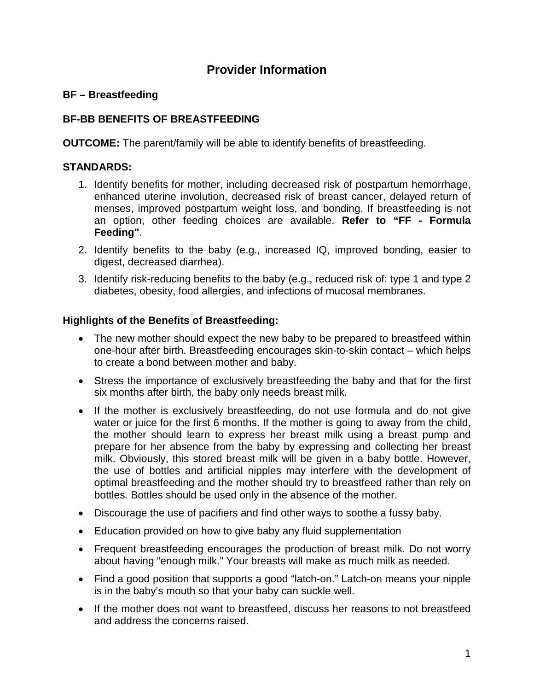# **Provider Information**

# **BF – Breastfeeding**

# **BF-BB BENEFITS OF BREASTFEEDING**

**OUTCOME:** The parent/family will be able to identify benefits of breastfeeding.

### **STANDARDS:**

- 1. Identify benefits for mother, including decreased risk of postpartum hemorrhage, enhanced uterine involution, decreased risk of breast cancer, delayed return of menses, improved postpartum weight loss, and bonding. If breastfeeding is not an option, other feeding choices are available. **Refer to "FF - Formula Feeding"**.
- 2. Identify benefits to the baby (e.g., increased IQ, improved bonding, easier to digest, decreased diarrhea).
- 3. Identify risk-reducing benefits to the baby (e.g., reduced risk of: type 1 and type 2 diabetes, obesity, food allergies, and infections of mucosal membranes.

### **Highlights of the Benefits of Breastfeeding:**

- The new mother should expect the new baby to be prepared to breastfeed within one-hour after birth. Breastfeeding encourages skin-to-skin contact – which helps to create a bond between mother and baby.
- Stress the importance of exclusively breastfeeding the baby and that for the first six months after birth, the baby only needs breast milk.
- If the mother is exclusively breastfeeding, do not use formula and do not give water or juice for the first 6 months. If the mother is going to away from the child, the mother should learn to express her breast milk using a breast pump and prepare for her absence from the baby by expressing and collecting her breast milk. Obviously, this stored breast milk will be given in a baby bottle. However, the use of bottles and artificial nipples may interfere with the development of optimal breastfeeding and the mother should try to breastfeed rather than rely on bottles. Bottles should be used only in the absence of the mother.
- Discourage the use of pacifiers and find other ways to soothe a fussy baby.
- Education provided on how to give baby any fluid supplementation
- Frequent breastfeeding encourages the production of breast milk. Do not worry about having "enough milk." Your breasts will make as much milk as needed.
- Find a good position that supports a good "latch-on." Latch-on means your nipple is in the baby's mouth so that your baby can suckle well.
- If the mother does not want to breastfeed, discuss her reasons to not breastfeed and address the concerns raised.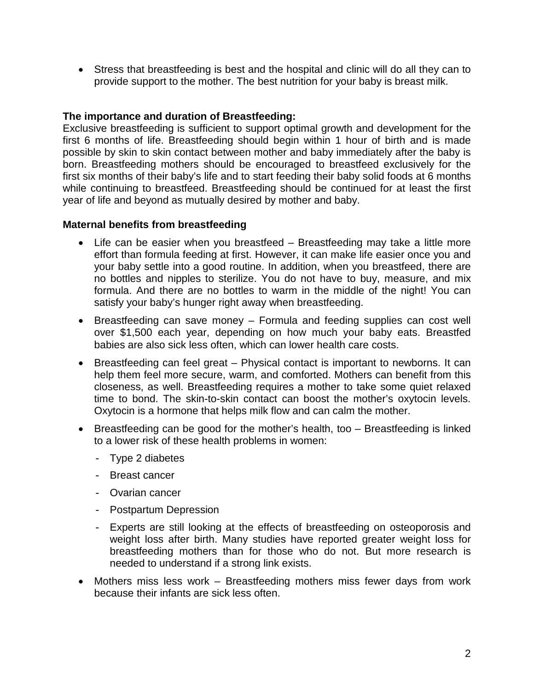• Stress that breastfeeding is best and the hospital and clinic will do all they can to provide support to the mother. The best nutrition for your baby is breast milk.

#### **The importance and duration of Breastfeeding:**

Exclusive breastfeeding is sufficient to support optimal growth and development for the first 6 months of life. Breastfeeding should begin within 1 hour of birth and is made possible by skin to skin contact between mother and baby immediately after the baby is born. Breastfeeding mothers should be encouraged to breastfeed exclusively for the first six months of their baby's life and to start feeding their baby solid foods at 6 months while continuing to breastfeed. Breastfeeding should be continued for at least the first year of life and beyond as mutually desired by mother and baby.

#### **Maternal benefits from breastfeeding**

- Life can be easier when you breastfeed Breastfeeding may take a little more effort than formula feeding at first. However, it can make life easier once you and your baby settle into a good routine. In addition, when you breastfeed, there are no bottles and nipples to sterilize. You do not have to buy, measure, and mix formula. And there are no bottles to warm in the middle of the night! You can satisfy your baby's hunger right away when breastfeeding.
- Breastfeeding can save money Formula and feeding supplies can cost well over \$1,500 each year, depending on how much your baby eats. Breastfed babies are also sick less often, which can lower health care costs.
- Breastfeeding can feel great Physical contact is important to newborns. It can help them feel more secure, warm, and comforted. Mothers can benefit from this closeness, as well. Breastfeeding requires a mother to take some quiet relaxed time to bond. The skin-to-skin contact can boost the mother's oxytocin levels. Oxytocin is a hormone that helps milk flow and can calm the mother.
- Breastfeeding can be good for the mother's health, too Breastfeeding is linked to a lower risk of these health problems in women:
	- Type 2 diabetes
	- Breast cancer
	- Ovarian cancer
	- Postpartum Depression
	- Experts are still looking at the effects of breastfeeding on osteoporosis and weight loss after birth. Many studies have reported greater weight loss for breastfeeding mothers than for those who do not. But more research is needed to understand if a strong link exists.
- Mothers miss less work Breastfeeding mothers miss fewer days from work because their infants are sick less often.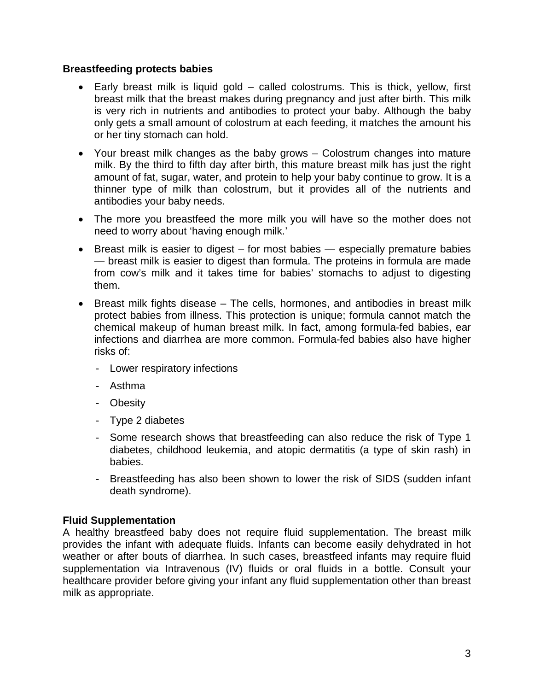#### **Breastfeeding protects babies**

- Early breast milk is liquid gold called colostrums. This is thick, yellow, first breast milk that the breast makes during pregnancy and just after birth. This milk is very rich in nutrients and antibodies to protect your baby. Although the baby only gets a small amount of colostrum at each feeding, it matches the amount his or her tiny stomach can hold.
- Your breast milk changes as the baby grows Colostrum changes into mature milk. By the third to fifth day after birth, this mature breast milk has just the right amount of fat, sugar, water, and protein to help your baby continue to grow. It is a thinner type of milk than colostrum, but it provides all of the nutrients and antibodies your baby needs.
- The more you breastfeed the more milk you will have so the mother does not need to worry about 'having enough milk.'
- Breast milk is easier to digest for most babies especially premature babies — breast milk is easier to digest than formula. The proteins in formula are made from cow's milk and it takes time for babies' stomachs to adjust to digesting them.
- Breast milk fights disease The cells, hormones, and antibodies in breast milk protect babies from illness. This protection is unique; formula cannot match the chemical makeup of human breast milk. In fact, among formula-fed babies, ear infections and diarrhea are more common. Formula-fed babies also have higher risks of:
	- Lower respiratory infections
	- Asthma
	- Obesity
	- Type 2 diabetes
	- Some research shows that breastfeeding can also reduce the risk of Type 1 diabetes, childhood leukemia, and atopic dermatitis (a type of skin rash) in babies.
	- Breastfeeding has also been shown to lower the risk of SIDS (sudden infant death syndrome).

#### **Fluid Supplementation**

A healthy breastfeed baby does not require fluid supplementation. The breast milk provides the infant with adequate fluids. Infants can become easily dehydrated in hot weather or after bouts of diarrhea. In such cases, breastfeed infants may require fluid supplementation via Intravenous (IV) fluids or oral fluids in a bottle. Consult your healthcare provider before giving your infant any fluid supplementation other than breast milk as appropriate.